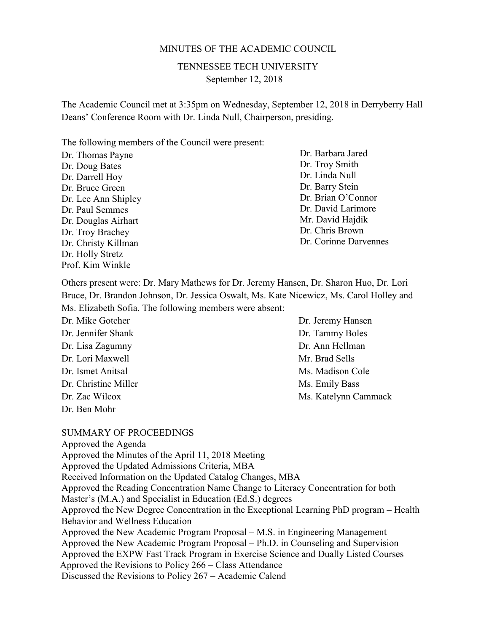#### MINUTES OF THE ACADEMIC COUNCIL

TENNESSEE TECH UNIVERSITY September 12, 2018

The Academic Council met at 3:35pm on Wednesday, September 12, 2018 in Derryberry Hall Deans' Conference Room with Dr. Linda Null, Chairperson, presiding.

The following members of the Council were present:

Dr. Thomas Payne Dr. Doug Bates Dr. Darrell Hoy Dr. Bruce Green Dr. Lee Ann Shipley Dr. Paul Semmes Dr. Douglas Airhart Dr. Troy Brachey Dr. Christy Killman Dr. Holly Stretz Prof. Kim Winkle

Dr. Barbara Jared Dr. Troy Smith Dr. Linda Null Dr. Barry Stein Dr. Brian O'Connor Dr. David Larimore Mr. David Hajdik Dr. Chris Brown Dr. Corinne Darvennes

Others present were: Dr. Mary Mathews for Dr. Jeremy Hansen, Dr. Sharon Huo, Dr. Lori Bruce, Dr. Brandon Johnson, Dr. Jessica Oswalt, Ms. Kate Nicewicz, Ms. Carol Holley and Ms. Elizabeth Sofia. The following members were absent:

Dr. Mike Gotcher Dr. Jennifer Shank Dr. Lisa Zagumny Dr. Lori Maxwell Dr. Ismet Anitsal Dr. Christine Miller Dr. Zac Wilcox Dr. Ben Mohr

# Dr. Jeremy Hansen Dr. Tammy Boles Dr. Ann Hellman Mr. Brad Sells Ms. Madison Cole Ms. Emily Bass Ms. Katelynn Cammack

#### SUMMARY OF PROCEEDINGS

Approved the Agenda Approved the Minutes of the April 11, 2018 Meeting Approved the Updated Admissions Criteria, MBA Received Information on the Updated Catalog Changes, MBA Approved the Reading Concentration Name Change to Literacy Concentration for both Master's (M.A.) and Specialist in Education (Ed.S.) degrees Approved the New Degree Concentration in the Exceptional Learning PhD program – Health Behavior and Wellness Education Approved the New Academic Program Proposal – M.S. in Engineering Management Approved the New Academic Program Proposal – Ph.D. in Counseling and Supervision Approved the EXPW Fast Track Program in Exercise Science and Dually Listed Courses Approved the Revisions to Policy 266 – Class Attendance Discussed the Revisions to Policy 267 – Academic Calend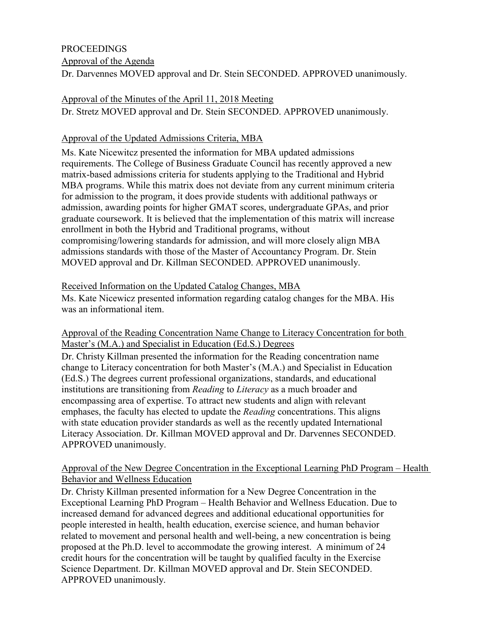### **PROCEEDINGS**

Approval of the Agenda

Dr. Darvennes MOVED approval and Dr. Stein SECONDED. APPROVED unanimously.

# Approval of the Minutes of the April 11, 2018 Meeting

Dr. Stretz MOVED approval and Dr. Stein SECONDED. APPROVED unanimously.

# Approval of the Updated Admissions Criteria, MBA

Ms. Kate Nicewitcz presented the information for MBA updated admissions requirements. The College of Business Graduate Council has recently approved a new matrix-based admissions criteria for students applying to the Traditional and Hybrid MBA programs. While this matrix does not deviate from any current minimum criteria for admission to the program, it does provide students with additional pathways or admission, awarding points for higher GMAT scores, undergraduate GPAs, and prior graduate coursework. It is believed that the implementation of this matrix will increase enrollment in both the Hybrid and Traditional programs, without compromising/lowering standards for admission, and will more closely align MBA admissions standards with those of the Master of Accountancy Program. Dr. Stein MOVED approval and Dr. Killman SECONDED. APPROVED unanimously.

# Received Information on the Updated Catalog Changes, MBA

Ms. Kate Nicewicz presented information regarding catalog changes for the MBA. His was an informational item.

# Approval of the Reading Concentration Name Change to Literacy Concentration for both Master's (M.A.) and Specialist in Education (Ed.S.) Degrees

Dr. Christy Killman presented the information for the Reading concentration name change to Literacy concentration for both Master's (M.A.) and Specialist in Education (Ed.S.) The degrees current professional organizations, standards, and educational institutions are transitioning from *Reading* to *Literacy* as a much broader and encompassing area of expertise. To attract new students and align with relevant emphases, the faculty has elected to update the *Reading* concentrations. This aligns with state education provider standards as well as the recently updated International Literacy Association. Dr. Killman MOVED approval and Dr. Darvennes SECONDED. APPROVED unanimously.

### Approval of the New Degree Concentration in the Exceptional Learning PhD Program – Health Behavior and Wellness Education

Dr. Christy Killman presented information for a New Degree Concentration in the Exceptional Learning PhD Program – Health Behavior and Wellness Education. Due to increased demand for advanced degrees and additional educational opportunities for people interested in health, health education, exercise science, and human behavior related to movement and personal health and well-being, a new concentration is being proposed at the Ph.D. level to accommodate the growing interest. A minimum of 24 credit hours for the concentration will be taught by qualified faculty in the Exercise Science Department. Dr. Killman MOVED approval and Dr. Stein SECONDED. APPROVED unanimously.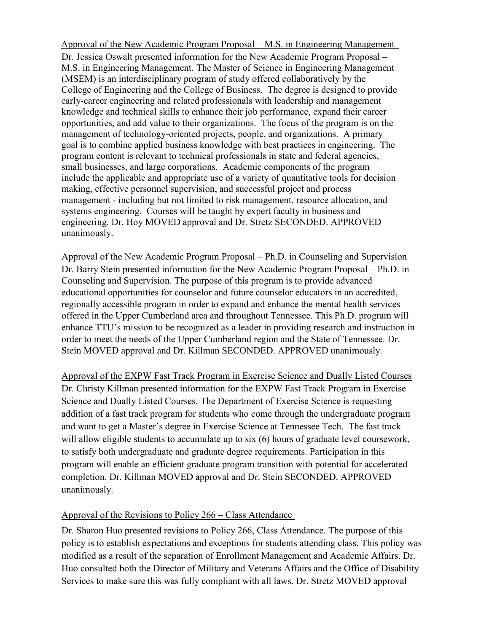Approval of the New Academic Program Proposal – M.S. in Engineering Management Dr. Jessica Oswalt presented information for the New Academic Program Proposal – M.S. in Engineering Management. The Master of Science in Engineering Management (MSEM) is an interdisciplinary program of study offered collaboratively by the College of Engineering and the College of Business. The degree is designed to provide early-career engineering and related professionals with leadership and management knowledge and technical skills to enhance their job performance, expand their career opportunities, and add value to their organizations. The focus of the program is on the management of technology-oriented projects, people, and organizations. A primary goal is to combine applied business knowledge with best practices in engineering. The program content is relevant to technical professionals in state and federal agencies, small businesses, and large corporations. Academic components of the program include the applicable and appropriate use of a variety of quantitative tools for decision making, effective personnel supervision, and successful project and process management - including but not limited to risk management, resource allocation, and systems engineering. Courses will be taught by expert faculty in business and engineering. Dr. Hoy MOVED approval and Dr. Stretz SECONDED. APPROVED unanimously.

Approval of the New Academic Program Proposal – Ph.D. in Counseling and Supervision Dr. Barry Stein presented information for the New Academic Program Proposal – Ph.D. in Counseling and Supervision. The purpose of this program is to provide advanced educational opportunities for counselor and future counselor educators in an accredited, regionally accessible program in order to expand and enhance the mental health services offered in the Upper Cumberland area and throughout Tennessee. This Ph.D. program will enhance TTU's mission to be recognized as a leader in providing research and instruction in order to meet the needs of the Upper Cumberland region and the State of Tennessee. Dr. Stein MOVED approval and Dr. Killman SECONDED. APPROVED unanimously.

Approval of the EXPW Fast Track Program in Exercise Science and Dually Listed Courses Dr. Christy Killman presented information for the EXPW Fast Track Program in Exercise Science and Dually Listed Courses. The Department of Exercise Science is requesting addition of a fast track program for students who come through the undergraduate program and want to get a Master's degree in Exercise Science at Tennessee Tech. The fast track will allow eligible students to accumulate up to six (6) hours of graduate level coursework, to satisfy both undergraduate and graduate degree requirements. Participation in this program will enable an efficient graduate program transition with potential for accelerated completion. Dr. Killman MOVED approval and Dr. Stein SECONDED. APPROVED unanimously.

### Approval of the Revisions to Policy 266 – Class Attendance

Dr. Sharon Huo presented revisions to Policy 266, Class Attendance. The purpose of this policy is to establish expectations and exceptions for students attending class. This policy was modified as a result of the separation of Enrollment Management and Academic Affairs. Dr. Huo consulted both the Director of Military and Veterans Affairs and the Office of Disability Services to make sure this was fully compliant with all laws. Dr. Stretz MOVED approval